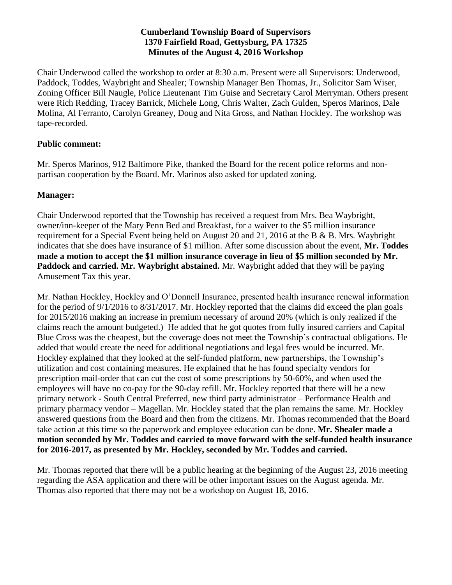## **Cumberland Township Board of Supervisors 1370 Fairfield Road, Gettysburg, PA 17325 Minutes of the August 4, 2016 Workshop**

Chair Underwood called the workshop to order at 8:30 a.m. Present were all Supervisors: Underwood, Paddock, Toddes, Waybright and Shealer; Township Manager Ben Thomas, Jr., Solicitor Sam Wiser, Zoning Officer Bill Naugle, Police Lieutenant Tim Guise and Secretary Carol Merryman. Others present were Rich Redding, Tracey Barrick, Michele Long, Chris Walter, Zach Gulden, Speros Marinos, Dale Molina, Al Ferranto, Carolyn Greaney, Doug and Nita Gross, and Nathan Hockley. The workshop was tape-recorded.

## **Public comment:**

Mr. Speros Marinos, 912 Baltimore Pike, thanked the Board for the recent police reforms and nonpartisan cooperation by the Board. Mr. Marinos also asked for updated zoning.

## **Manager:**

Chair Underwood reported that the Township has received a request from Mrs. Bea Waybright, owner/inn-keeper of the Mary Penn Bed and Breakfast, for a waiver to the \$5 million insurance requirement for a Special Event being held on August 20 and 21, 2016 at the B & B. Mrs. Waybright indicates that she does have insurance of \$1 million. After some discussion about the event, **Mr. Toddes made a motion to accept the \$1 million insurance coverage in lieu of \$5 million seconded by Mr. Paddock and carried. Mr. Waybright abstained.** Mr. Waybright added that they will be paying Amusement Tax this year.

Mr. Nathan Hockley, Hockley and O'Donnell Insurance, presented health insurance renewal information for the period of 9/1/2016 to 8/31/2017. Mr. Hockley reported that the claims did exceed the plan goals for 2015/2016 making an increase in premium necessary of around 20% (which is only realized if the claims reach the amount budgeted.) He added that he got quotes from fully insured carriers and Capital Blue Cross was the cheapest, but the coverage does not meet the Township's contractual obligations. He added that would create the need for additional negotiations and legal fees would be incurred. Mr. Hockley explained that they looked at the self-funded platform, new partnerships, the Township's utilization and cost containing measures. He explained that he has found specialty vendors for prescription mail-order that can cut the cost of some prescriptions by 50-60%, and when used the employees will have no co-pay for the 90-day refill. Mr. Hockley reported that there will be a new primary network - South Central Preferred, new third party administrator – Performance Health and primary pharmacy vendor – Magellan. Mr. Hockley stated that the plan remains the same. Mr. Hockley answered questions from the Board and then from the citizens. Mr. Thomas recommended that the Board take action at this time so the paperwork and employee education can be done. **Mr. Shealer made a motion seconded by Mr. Toddes and carried to move forward with the self-funded health insurance for 2016-2017, as presented by Mr. Hockley, seconded by Mr. Toddes and carried.** 

Mr. Thomas reported that there will be a public hearing at the beginning of the August 23, 2016 meeting regarding the ASA application and there will be other important issues on the August agenda. Mr. Thomas also reported that there may not be a workshop on August 18, 2016.